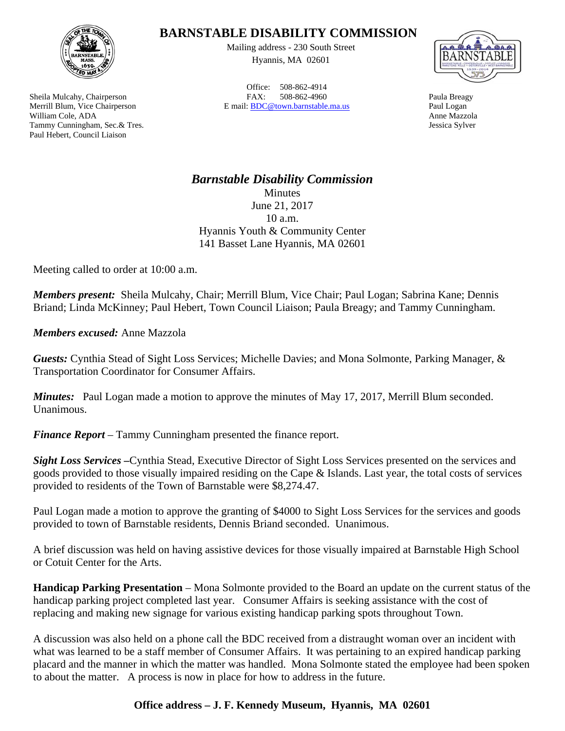

Sheila Mulcahy, Chairperson Merrill Blum, Vice Chairperson William Cole, ADA Tammy Cunningham, Sec.& Tres. Paul Hebert, Council Liaison

## **BARNSTABLE DISABILITY COMMISSION**

Mailing address - 230 South Street Hyannis, MA 02601

Office: 508-862-4914 FAX: 508-862-4960 E mail: BDC@town.barnstable.ma.us



Paula Breagy Paul Logan Anne Mazzola Jessica Sylver

*Barnstable Disability Commission*  Minutes June 21, 2017 10 a.m. Hyannis Youth & Community Center 141 Basset Lane Hyannis, MA 02601

Meeting called to order at 10:00 a.m.

*Members present:* Sheila Mulcahy, Chair; Merrill Blum, Vice Chair; Paul Logan; Sabrina Kane; Dennis Briand; Linda McKinney; Paul Hebert, Town Council Liaison; Paula Breagy; and Tammy Cunningham.

*Members excused:* Anne Mazzola

*Guests:* Cynthia Stead of Sight Loss Services; Michelle Davies; and Mona Solmonte, Parking Manager, & Transportation Coordinator for Consumer Affairs.

*Minutes:* Paul Logan made a motion to approve the minutes of May 17, 2017, Merrill Blum seconded. Unanimous.

*Finance Report* – Tammy Cunningham presented the finance report.

*Sight Loss Services –*Cynthia Stead, Executive Director of Sight Loss Services presented on the services and goods provided to those visually impaired residing on the Cape & Islands. Last year, the total costs of services provided to residents of the Town of Barnstable were \$8,274.47.

Paul Logan made a motion to approve the granting of \$4000 to Sight Loss Services for the services and goods provided to town of Barnstable residents, Dennis Briand seconded. Unanimous.

A brief discussion was held on having assistive devices for those visually impaired at Barnstable High School or Cotuit Center for the Arts.

**Handicap Parking Presentation** – Mona Solmonte provided to the Board an update on the current status of the handicap parking project completed last year. Consumer Affairs is seeking assistance with the cost of replacing and making new signage for various existing handicap parking spots throughout Town.

A discussion was also held on a phone call the BDC received from a distraught woman over an incident with what was learned to be a staff member of Consumer Affairs. It was pertaining to an expired handicap parking placard and the manner in which the matter was handled. Mona Solmonte stated the employee had been spoken to about the matter. A process is now in place for how to address in the future.

## **Office address – J. F. Kennedy Museum, Hyannis, MA 02601**